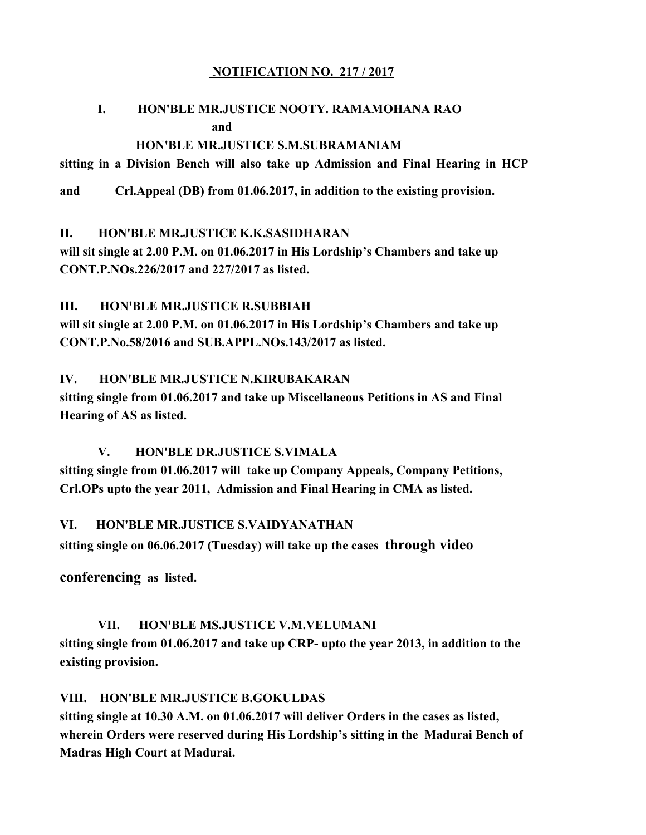## **NOTIFICATIONNO. 217/2017**

## **I. HON'BLE MR.JUSTICE NOOTY. RAMAMOHANA RAO and**

### **HON'BLE MR.JUSTICE S.M.SUBRAMANIAM**

**sitting in a Division Bench will also take up Admission and Final Hearing in HCP**

**and Crl.Appeal (DB) from 01.06.2017, in addition to the existing provision.**

#### **II. HON'BLE MR.JUSTICE K.K.SASIDHARAN**

**will sit single at 2.00 P.M. on 01.06.2017 in His Lordship's Chambers and take up CONT.P.NOs.226/2017 and 227/2017 as listed.** 

## **III. HON'BLE MR.JUSTICE R.SUBBIAH**

**will sit single at 2.00 P.M. on 01.06.2017 in His Lordship's Chambers and take up CONT.P.No.58/2016 and SUB.APPL.NOs.143/2017 as listed.** 

## **IV. HON'BLE MR.JUSTICE N.KIRUBAKARAN**

**sitting single from 01.06.2017 and take up Miscellaneous Petitions in AS and Final Hearing of AS as listed.** 

## **V. HON'BLE DR.JUSTICE S.VIMALA**

**sitting single from 01.06.2017 will take up Company Appeals, Company Petitions, Crl.OPs upto the year 2011, Admission and Final Hearing in CMA as listed.**

## **VI. HON'BLE MR.JUSTICE S.VAIDYANATHAN**

**sitting single on 06.06.2017 (Tuesday) will take up the cases through video**

**conferencing as listed.**

#### **VII. HON'BLE MS.JUSTICE V.M.VELUMANI**

**sitting single from 01.06.2017 and take up CRP- upto the year 2013, in addition to the existing provision.**

#### **VIII. HON'BLE MR.JUSTICE B.GOKULDAS**

**sitting single at 10.30 A.M. on 01.06.2017 will deliver Orders in the cases as listed, wherein Orders were reserved during His Lordship's sitting in the Madurai Bench of Madras High Court at Madurai.**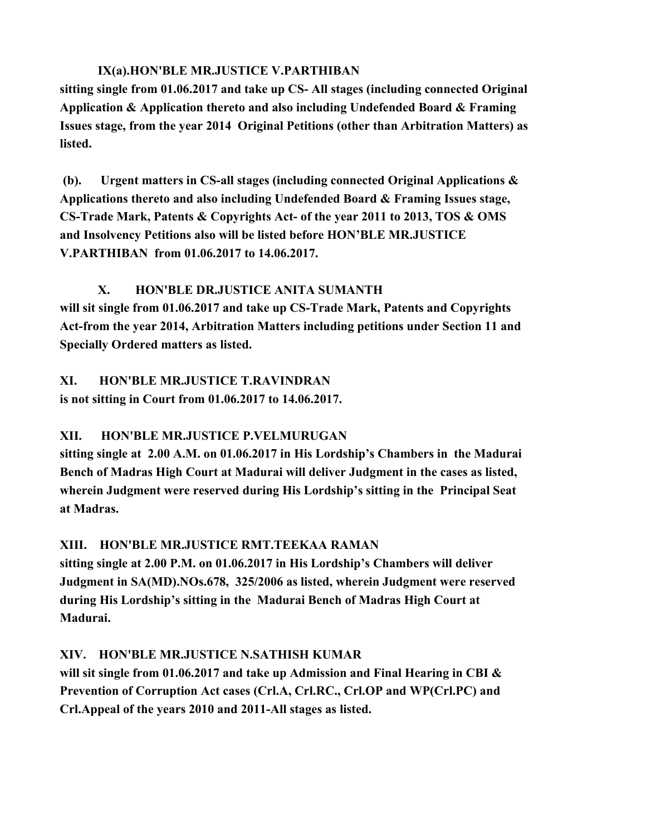## **IX(a).HON'BLE MR.JUSTICE V.PARTHIBAN**

**sitting single from 01.06.2017 and take up CS- All stages (including connected Original Application & Application thereto and also including Undefended Board & Framing Issues stage, from the year 2014 Original Petitions (other than Arbitration Matters) as listed.**

**(b). Urgent matters in CS-all stages (including connected Original Applications & Applications thereto and also including Undefended Board & Framing Issues stage, CS-Trade Mark, Patents & Copyrights Act- of the year 2011 to 2013, TOS & OMS and Insolvency Petitions also will be listed before HON'BLE MR.JUSTICE V.PARTHIBAN from 01.06.2017 to 14.06.2017.**

# **X. HON'BLE DR.JUSTICE ANITA SUMANTH**

**will sit single from 01.06.2017 and take up CS-Trade Mark, Patents and Copyrights Act-from the year 2014, Arbitration Matters including petitions under Section 11 and Specially Ordered matters as listed.**

**XI. HON'BLE MR.JUSTICE T.RAVINDRAN is not sitting in Court from 01.06.2017 to 14.06.2017.**

# **XII. HON'BLE MR.JUSTICE P.VELMURUGAN**

**sitting single at 2.00 A.M. on 01.06.2017 in His Lordship's Chambers in the Madurai Bench of Madras High Court at Madurai will deliver Judgment in the cases as listed, wherein Judgment were reserved during His Lordship's sitting in the Principal Seat at Madras.**

# **XIII. HON'BLE MR.JUSTICE RMT.TEEKAA RAMAN**

**sitting single at 2.00 P.M. on 01.06.2017 in His Lordship's Chambers will deliver Judgment in SA(MD).NOs.678, 325/2006 as listed, wherein Judgment were reserved during His Lordship's sitting in the Madurai Bench of Madras High Court at Madurai.**

# **XIV. HON'BLE MR.JUSTICE N.SATHISH KUMAR**

**will sit single from 01.06.2017 and take up Admission and Final Hearing in CBI & Prevention of Corruption Act cases (Crl.A, Crl.RC., Crl.OP and WP(Crl.PC) and Crl.Appeal of the years 2010 and 2011-All stages as listed.**